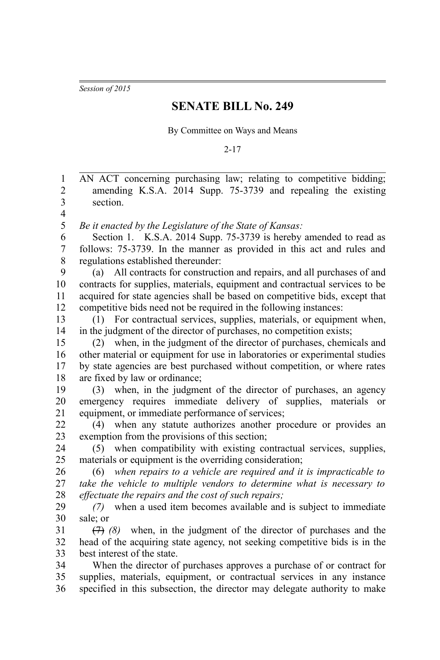*Session of 2015*

## **SENATE BILL No. 249**

By Committee on Ways and Means

2-17

| $\mathbf{1}$<br>$\overline{2}$ | AN ACT concerning purchasing law; relating to competitive bidding;            |
|--------------------------------|-------------------------------------------------------------------------------|
|                                | amending K.S.A. 2014 Supp. 75-3739 and repealing the existing                 |
| 3                              | section.                                                                      |
| $\overline{\mathbf{4}}$        |                                                                               |
| 5                              | Be it enacted by the Legislature of the State of Kansas:                      |
| 6                              | Section 1. K.S.A. 2014 Supp. 75-3739 is hereby amended to read as             |
| $\boldsymbol{7}$               | follows: 75-3739. In the manner as provided in this act and rules and         |
| 8                              | regulations established thereunder:                                           |
| 9                              | (a) All contracts for construction and repairs, and all purchases of and      |
| 10                             | contracts for supplies, materials, equipment and contractual services to be   |
| 11                             | acquired for state agencies shall be based on competitive bids, except that   |
| 12                             | competitive bids need not be required in the following instances:             |
| 13                             | (1) For contractual services, supplies, materials, or equipment when,         |
| 14                             | in the judgment of the director of purchases, no competition exists;          |
| 15                             | when, in the judgment of the director of purchases, chemicals and<br>(2)      |
| 16                             | other material or equipment for use in laboratories or experimental studies   |
| 17                             | by state agencies are best purchased without competition, or where rates      |
| 18                             | are fixed by law or ordinance;                                                |
| 19                             | (3) when, in the judgment of the director of purchases, an agency             |
| 20                             | emergency requires immediate delivery of supplies, materials<br><sub>or</sub> |
| 21                             | equipment, or immediate performance of services;                              |
| 22                             | (4) when any statute authorizes another procedure or provides an              |
| 23                             | exemption from the provisions of this section;                                |
| 24                             | (5) when compatibility with existing contractual services, supplies,          |
| 25                             | materials or equipment is the overriding consideration;                       |
| 26                             | $(6)$ when repairs to a vehicle are required and it is impracticable to       |
| 27                             | take the vehicle to multiple vendors to determine what is necessary to        |
| 28                             | effectuate the repairs and the cost of such repairs;                          |
| 29                             | when a used item becomes available and is subject to immediate<br>(7)         |
| 30                             | sale; or                                                                      |
| 31                             | $(7)$ (8) when, in the judgment of the director of purchases and the          |
| 32                             | head of the acquiring state agency, not seeking competitive bids is in the    |
| 33                             | best interest of the state.                                                   |
| 34                             | When the director of purchases approves a purchase of or contract for         |
| 35                             | supplies, materials, equipment, or contractual services in any instance       |
| 36                             | specified in this subsection, the director may delegate authority to make     |
|                                |                                                                               |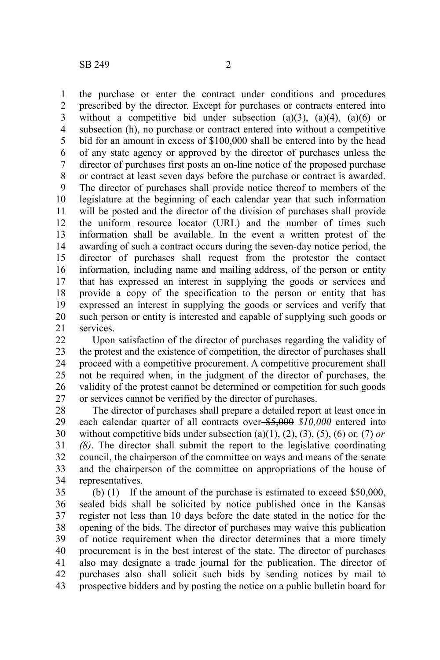the purchase or enter the contract under conditions and procedures prescribed by the director. Except for purchases or contracts entered into without a competitive bid under subsection  $(a)(3)$ ,  $(a)(4)$ ,  $(a)(6)$  or subsection (h), no purchase or contract entered into without a competitive bid for an amount in excess of \$100,000 shall be entered into by the head of any state agency or approved by the director of purchases unless the director of purchases first posts an on-line notice of the proposed purchase or contract at least seven days before the purchase or contract is awarded. The director of purchases shall provide notice thereof to members of the legislature at the beginning of each calendar year that such information will be posted and the director of the division of purchases shall provide the uniform resource locator (URL) and the number of times such information shall be available. In the event a written protest of the awarding of such a contract occurs during the seven-day notice period, the director of purchases shall request from the protestor the contact information, including name and mailing address, of the person or entity that has expressed an interest in supplying the goods or services and provide a copy of the specification to the person or entity that has expressed an interest in supplying the goods or services and verify that such person or entity is interested and capable of supplying such goods or services. 1 2 3 4 5 6 7 8 9 10 11 12 13 14 15 16 17 18 19 20 21

Upon satisfaction of the director of purchases regarding the validity of the protest and the existence of competition, the director of purchases shall proceed with a competitive procurement. A competitive procurement shall not be required when, in the judgment of the director of purchases, the validity of the protest cannot be determined or competition for such goods or services cannot be verified by the director of purchases. 22 23 24 25 26 27

The director of purchases shall prepare a detailed report at least once in each calendar quarter of all contracts over  $\frac{$5,000}{$10,000}$  entered into without competitive bids under subsection (a)(1), (2), (3), (5), (6)- $\Theta$ *r*, (7) *or (8)*. The director shall submit the report to the legislative coordinating council, the chairperson of the committee on ways and means of the senate and the chairperson of the committee on appropriations of the house of representatives. 28 29 30 31 32 33 34

(b) (1) If the amount of the purchase is estimated to exceed \$50,000, sealed bids shall be solicited by notice published once in the Kansas register not less than 10 days before the date stated in the notice for the opening of the bids. The director of purchases may waive this publication of notice requirement when the director determines that a more timely procurement is in the best interest of the state. The director of purchases also may designate a trade journal for the publication. The director of purchases also shall solicit such bids by sending notices by mail to prospective bidders and by posting the notice on a public bulletin board for 35 36 37 38 39 40 41 42 43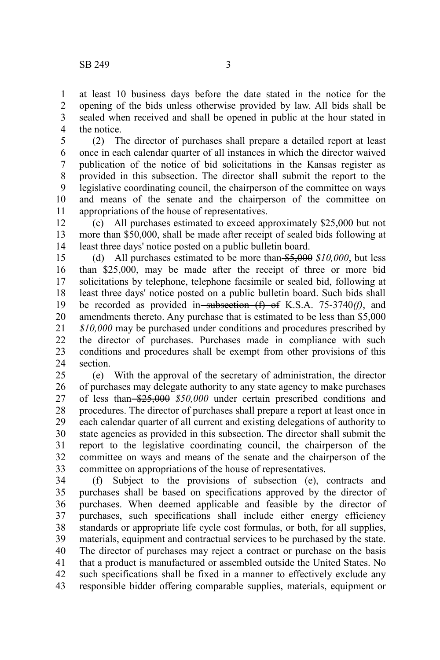at least 10 business days before the date stated in the notice for the opening of the bids unless otherwise provided by law. All bids shall be sealed when received and shall be opened in public at the hour stated in the notice. 1 2 3 4

(2) The director of purchases shall prepare a detailed report at least once in each calendar quarter of all instances in which the director waived publication of the notice of bid solicitations in the Kansas register as provided in this subsection. The director shall submit the report to the legislative coordinating council, the chairperson of the committee on ways and means of the senate and the chairperson of the committee on appropriations of the house of representatives. 5 6 7 8 9 10 11

(c) All purchases estimated to exceed approximately \$25,000 but not more than \$50,000, shall be made after receipt of sealed bids following at least three days' notice posted on a public bulletin board. 12 13 14

(d) All purchases estimated to be more than \$5,000 *\$10,000*, but less than \$25,000, may be made after the receipt of three or more bid solicitations by telephone, telephone facsimile or sealed bid, following at least three days' notice posted on a public bulletin board. Such bids shall be recorded as provided in subsection (f) of K.S.A. 75-3740*(f)*, and amendments thereto. Any purchase that is estimated to be less than  $$5,000$ *\$10,000* may be purchased under conditions and procedures prescribed by the director of purchases. Purchases made in compliance with such conditions and procedures shall be exempt from other provisions of this section. 15 16 17 18 19 20 21 22 23 24

(e) With the approval of the secretary of administration, the director of purchases may delegate authority to any state agency to make purchases of less than \$25,000 *\$50,000* under certain prescribed conditions and procedures. The director of purchases shall prepare a report at least once in each calendar quarter of all current and existing delegations of authority to state agencies as provided in this subsection. The director shall submit the report to the legislative coordinating council, the chairperson of the committee on ways and means of the senate and the chairperson of the committee on appropriations of the house of representatives. 25 26 27 28 29 30 31 32 33

(f) Subject to the provisions of subsection (e), contracts and purchases shall be based on specifications approved by the director of purchases. When deemed applicable and feasible by the director of purchases, such specifications shall include either energy efficiency standards or appropriate life cycle cost formulas, or both, for all supplies, materials, equipment and contractual services to be purchased by the state. The director of purchases may reject a contract or purchase on the basis that a product is manufactured or assembled outside the United States. No such specifications shall be fixed in a manner to effectively exclude any responsible bidder offering comparable supplies, materials, equipment or 34 35 36 37 38 39 40 41 42 43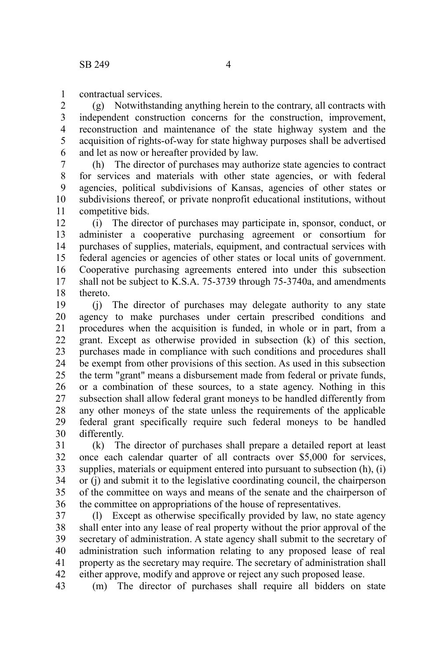contractual services. 1

(g) Notwithstanding anything herein to the contrary, all contracts with independent construction concerns for the construction, improvement, reconstruction and maintenance of the state highway system and the acquisition of rights-of-way for state highway purposes shall be advertised and let as now or hereafter provided by law. 2 3 4 5 6

(h) The director of purchases may authorize state agencies to contract for services and materials with other state agencies, or with federal agencies, political subdivisions of Kansas, agencies of other states or subdivisions thereof, or private nonprofit educational institutions, without competitive bids. 7 8 9 10 11

(i) The director of purchases may participate in, sponsor, conduct, or administer a cooperative purchasing agreement or consortium for purchases of supplies, materials, equipment, and contractual services with federal agencies or agencies of other states or local units of government. Cooperative purchasing agreements entered into under this subsection shall not be subject to K.S.A. 75-3739 through 75-3740a, and amendments thereto. 12 13 14 15 16 17 18

(j) The director of purchases may delegate authority to any state agency to make purchases under certain prescribed conditions and procedures when the acquisition is funded, in whole or in part, from a grant. Except as otherwise provided in subsection (k) of this section, purchases made in compliance with such conditions and procedures shall be exempt from other provisions of this section. As used in this subsection the term "grant" means a disbursement made from federal or private funds, or a combination of these sources, to a state agency. Nothing in this subsection shall allow federal grant moneys to be handled differently from any other moneys of the state unless the requirements of the applicable federal grant specifically require such federal moneys to be handled differently. 19 20 21 22 23 24 25 26 27 28 29 30

(k) The director of purchases shall prepare a detailed report at least once each calendar quarter of all contracts over \$5,000 for services, supplies, materials or equipment entered into pursuant to subsection (h), (i) or (j) and submit it to the legislative coordinating council, the chairperson of the committee on ways and means of the senate and the chairperson of the committee on appropriations of the house of representatives. 31 32 33 34 35 36

(l) Except as otherwise specifically provided by law, no state agency shall enter into any lease of real property without the prior approval of the secretary of administration. A state agency shall submit to the secretary of administration such information relating to any proposed lease of real property as the secretary may require. The secretary of administration shall either approve, modify and approve or reject any such proposed lease. 37 38 39 40 41 42

(m) The director of purchases shall require all bidders on state 43